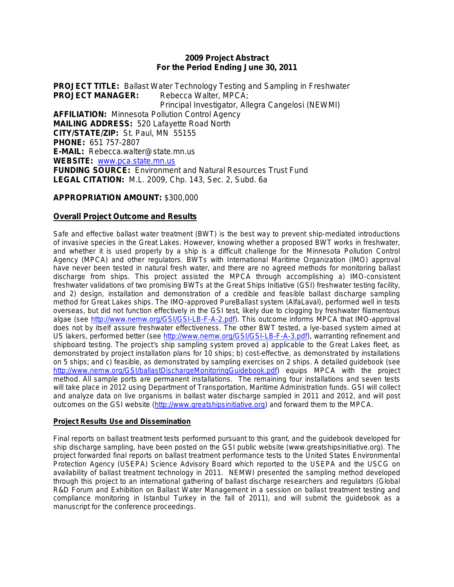#### **2009 Project Abstract For the Period Ending June 30, 2011**

**PROJECT TITLE:** Ballast Water Technology Testing and Sampling in Freshwater **PROJECT MANAGER:** Rebecca Walter, MPCA: Principal Investigator, Allegra Cangelosi (NEWMI) **AFFILIATION:** Minnesota Pollution Control Agency **MAILING ADDRESS:** 520 Lafayette Road North **CITY/STATE/ZIP:** St. Paul, MN 55155 **PHONE:** 651 757-2807 **E-MAIL:** Rebecca.walter@state.mn.us **WEBSITE:** [www.pca.state.mn.us](http://www.pca.state.mn.us/) **FUNDING SOURCE:** Environment and Natural Resources Trust Fund **LEGAL CITATION:** M.L. 2009, Chp. 143, Sec. 2, Subd. 6a

## **APPROPRIATION AMOUNT:** \$300,000

## **Overall Project Outcome and Results**

Safe and effective ballast water treatment (BWT) is the best way to prevent ship-mediated introductions of invasive species in the Great Lakes. However, knowing whether a proposed BWT works in freshwater, and whether it is used properly by a ship is a difficult challenge for the Minnesota Pollution Control Agency (MPCA) and other regulators. BWTs with International Maritime Organization (IMO) approval have never been tested in natural fresh water, and there are no agreed methods for monitoring ballast discharge from ships. This project assisted the MPCA through accomplishing a) IMO-consistent freshwater validations of two promising BWTs at the Great Ships Initiative (GSI) freshwater testing facility, and 2) design, installation and demonstration of a credible and feasible ballast discharge sampling method for Great Lakes ships. The IMO-approved PureBallast system (AlfaLaval), performed well in tests overseas, but did not function effectively in the GSI test, likely due to clogging by freshwater filamentous algae (see [http://www.nemw.org/GSI/GSI-LB-F-A-2.pdf\)](http://www.nemw.org/GSI/GSI-LB-F-A-2.pdf). This outcome informs MPCA that IMO-approval does not by itself assure freshwater effectiveness. The other BWT tested, a lye-based system aimed at US lakers, performed better (see [http://www.nemw.org/GSI/GSI-LB-F-A-3.pdf\)](http://www.nemw.org/GSI/GSI-LB-F-A-3.pdf), warranting refinement and shipboard testing. The project's ship sampling system proved a) applicable to the Great Lakes fleet, as demonstrated by project installation plans for 10 ships; b) cost-effective, as demonstrated by installations on 5 ships; and c) feasible, as demonstrated by sampling exercises on 2 ships. A detailed guidebook (see [http://www.nemw.org/GSI/ballastDischargeMonitoringGuidebook.pdf\)](http://www.nemw.org/GSI/ballastDischargeMonitoringGuidebook.pdf) equips MPCA with the project method. All sample ports are permanent installations. The remaining four installations and seven tests will take place in 2012 using Department of Transportation, Maritime Administration funds. GSI will collect and analyze data on live organisms in ballast water discharge sampled in 2011 and 2012, and will post outcomes on the GSI website [\(http://www.greatshipsinitiative.org\)](http://www.greatshipsinitiative.org/) and forward them to the MPCA.

#### **Project Results Use and Dissemination**

Final reports on ballast treatment tests performed pursuant to this grant, and the guidebook developed for ship discharge sampling, have been posted on the GSI public website (www.greatshipsinitiative.org). The project forwarded final reports on ballast treatment performance tests to the United States Environmental Protection Agency (USEPA) Science Advisory Board which reported to the USEPA and the USCG on availability of ballast treatment technology in 2011. NEMWI presented the sampling method developed through this project to an international gathering of ballast discharge researchers and regulators (Global R&D Forum and Exhibition on Ballast Water Management in a session on ballast treatment testing and compliance monitoring in Istanbul Turkey in the fall of 2011), and will submit the guidebook as a manuscript for the conference proceedings.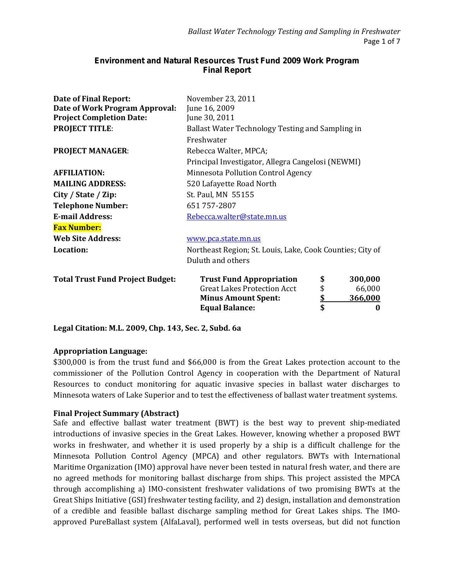# **Environment and Natural Resources Trust Fund 2009 Work Program Final Report**

| <b>Date of Final Report:</b>            | November 23, 2011                                         |           |         |  |  |
|-----------------------------------------|-----------------------------------------------------------|-----------|---------|--|--|
| Date of Work Program Approval:          | June 16, 2009                                             |           |         |  |  |
| <b>Project Completion Date:</b>         | June 30, 2011                                             |           |         |  |  |
| <b>PROJECT TITLE:</b>                   | Ballast Water Technology Testing and Sampling in          |           |         |  |  |
|                                         | Freshwater                                                |           |         |  |  |
| <b>PROJECT MANAGER:</b>                 | Rebecca Walter, MPCA;                                     |           |         |  |  |
|                                         | Principal Investigator, Allegra Cangelosi (NEWMI)         |           |         |  |  |
| <b>AFFILIATION:</b>                     | Minnesota Pollution Control Agency                        |           |         |  |  |
| <b>MAILING ADDRESS:</b>                 | 520 Lafayette Road North                                  |           |         |  |  |
| City / State / Zip:                     | St. Paul, MN 55155                                        |           |         |  |  |
| <b>Telephone Number:</b>                | 651 757-2807                                              |           |         |  |  |
| <b>E-mail Address:</b>                  | Rebecca.walter@state.mn.us                                |           |         |  |  |
| <b>Fax Number:</b>                      |                                                           |           |         |  |  |
| <b>Web Site Address:</b>                | www.pca.state.mn.us                                       |           |         |  |  |
| <b>Location:</b>                        | Northeast Region; St. Louis, Lake, Cook Counties; City of |           |         |  |  |
|                                         | Duluth and others                                         |           |         |  |  |
| <b>Total Trust Fund Project Budget:</b> | <b>Trust Fund Appropriation</b>                           | \$        | 300,000 |  |  |
|                                         | \$<br><b>Great Lakes Protection Acct</b>                  |           |         |  |  |
|                                         | <b>Minus Amount Spent:</b>                                | <u>\$</u> | 366,000 |  |  |
|                                         | <b>Equal Balance:</b>                                     | \$        | 0       |  |  |

**Legal Citation: M.L. 2009, Chp. 143, Sec. 2, Subd. 6a** 

# **Appropriation Language:**

\$300,000 is from the trust fund and \$66,000 is from the Great Lakes protection account to the commissioner of the Pollution Control Agency in cooperation with the Department of Natural Resources to conduct monitoring for aquatic invasive species in ballast water discharges to Minnesota waters of Lake Superior and to test the effectiveness of ballast water treatment systems.

#### **Final Project Summary (Abstract)**

Safe and effective ballast water treatment (BWT) is the best way to prevent ship-mediated introductions of invasive species in the Great Lakes. However, knowing whether a proposed BWT works in freshwater, and whether it is used properly by a ship is a difficult challenge for the Minnesota Pollution Control Agency (MPCA) and other regulators. BWTs with International Maritime Organization (IMO) approval have never been tested in natural fresh water, and there are no agreed methods for monitoring ballast discharge from ships. This project assisted the MPCA through accomplishing a) IMO-consistent freshwater validations of two promising BWTs at the Great Ships Initiative (GSI) freshwater testing facility, and 2) design, installation and demonstration of a credible and feasible ballast discharge sampling method for Great Lakes ships. The IMOapproved PureBallast system (AlfaLaval), performed well in tests overseas, but did not function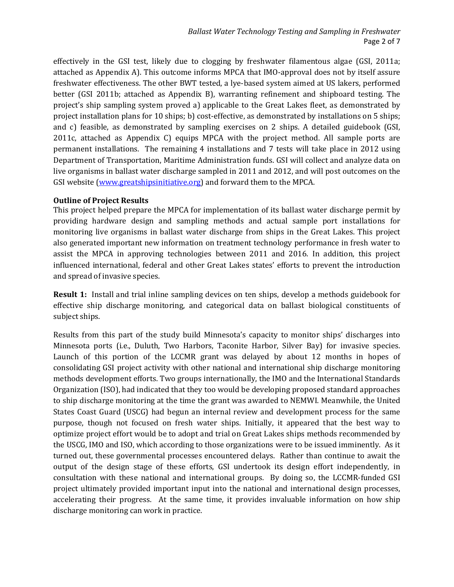effectively in the GSI test, likely due to clogging by freshwater filamentous algae (GSI, 2011a; attached as Appendix A). This outcome informs MPCA that IMO-approval does not by itself assure freshwater effectiveness. The other BWT tested, a lye-based system aimed at US lakers, performed better (GSI 2011b; attached as Appendix B), warranting refinement and shipboard testing. The project's ship sampling system proved a) applicable to the Great Lakes fleet, as demonstrated by project installation plans for 10 ships; b) cost-effective, as demonstrated by installations on 5 ships; and c) feasible, as demonstrated by sampling exercises on 2 ships. A detailed guidebook (GSI, 2011c, attached as Appendix C) equips MPCA with the project method. All sample ports are permanent installations. The remaining 4 installations and 7 tests will take place in 2012 using Department of Transportation, Maritime Administration funds. GSI will collect and analyze data on live organisms in ballast water discharge sampled in 2011 and 2012, and will post outcomes on the GSI website [\(www.greatshipsinitiative.org\)](http://www.greatshipsinitiative.org/) and forward them to the MPCA.

## **Outline of Project Results**

This project helped prepare the MPCA for implementation of its ballast water discharge permit by providing hardware design and sampling methods and actual sample port installations for monitoring live organisms in ballast water discharge from ships in the Great Lakes. This project also generated important new information on treatment technology performance in fresh water to assist the MPCA in approving technologies between 2011 and 2016. In addition, this project influenced international, federal and other Great Lakes states' efforts to prevent the introduction and spread of invasive species.

**Result 1:** Install and trial inline sampling devices on ten ships, develop a methods guidebook for effective ship discharge monitoring, and categorical data on ballast biological constituents of subject ships.

Results from this part of the study build Minnesota's capacity to monitor ships' discharges into Minnesota ports (i.e., Duluth, Two Harbors, Taconite Harbor, Silver Bay) for invasive species. Launch of this portion of the LCCMR grant was delayed by about 12 months in hopes of consolidating GSI project activity with other national and international ship discharge monitoring methods development efforts. Two groups internationally, the IMO and the International Standards Organization (ISO), had indicated that they too would be developing proposed standard approaches to ship discharge monitoring at the time the grant was awarded to NEMWI. Meanwhile, the United States Coast Guard (USCG) had begun an internal review and development process for the same purpose, though not focused on fresh water ships. Initially, it appeared that the best way to optimize project effort would be to adopt and trial on Great Lakes ships methods recommended by the USCG, IMO and ISO, which according to those organizations were to be issued imminently. As it turned out, these governmental processes encountered delays. Rather than continue to await the output of the design stage of these efforts, GSI undertook its design effort independently, in consultation with these national and international groups. By doing so, the LCCMR-funded GSI project ultimately provided important input into the national and international design processes, accelerating their progress. At the same time, it provides invaluable information on how ship discharge monitoring can work in practice.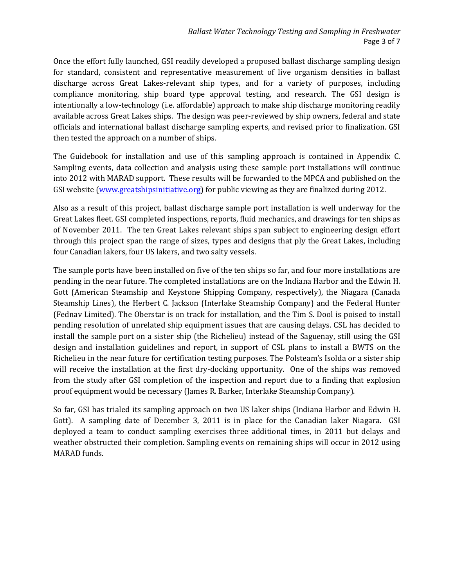Once the effort fully launched, GSI readily developed a proposed ballast discharge sampling design for standard, consistent and representative measurement of live organism densities in ballast discharge across Great Lakes-relevant ship types, and for a variety of purposes, including compliance monitoring, ship board type approval testing, and research. The GSI design is intentionally a low-technology (i.e. affordable) approach to make ship discharge monitoring readily available across Great Lakes ships. The design was peer-reviewed by ship owners, federal and state officials and international ballast discharge sampling experts, and revised prior to finalization. GSI then tested the approach on a number of ships.

The Guidebook for installation and use of this sampling approach is contained in Appendix C. Sampling events, data collection and analysis using these sample port installations will continue into 2012 with MARAD support. These results will be forwarded to the MPCA and published on the GSI website [\(www.greatshipsinitiative.org\)](http://www.greatshipsinitiative.org/) for public viewing as they are finalized during 2012.

Also as a result of this project, ballast discharge sample port installation is well underway for the Great Lakes fleet. GSI completed inspections, reports, fluid mechanics, and drawings for ten ships as of November 2011. The ten Great Lakes relevant ships span subject to engineering design effort through this project span the range of sizes, types and designs that ply the Great Lakes, including four Canadian lakers, four US lakers, and two salty vessels.

The sample ports have been installed on five of the ten ships so far, and four more installations are pending in the near future. The completed installations are on the Indiana Harbor and the Edwin H. Gott (American Steamship and Keystone Shipping Company, respectively), the Niagara (Canada Steamship Lines), the Herbert C. Jackson (Interlake Steamship Company) and the Federal Hunter (Fednav Limited). The Oberstar is on track for installation, and the Tim S. Dool is poised to install pending resolution of unrelated ship equipment issues that are causing delays. CSL has decided to install the sample port on a sister ship (the Richelieu) instead of the Saguenay, still using the GSI design and installation guidelines and report, in support of CSL plans to install a BWTS on the Richelieu in the near future for certification testing purposes. The Polsteam's Isolda or a sister ship will receive the installation at the first dry-docking opportunity. One of the ships was removed from the study after GSI completion of the inspection and report due to a finding that explosion proof equipment would be necessary (James R. Barker, Interlake Steamship Company).

So far, GSI has trialed its sampling approach on two US laker ships (Indiana Harbor and Edwin H. Gott). A sampling date of December 3, 2011 is in place for the Canadian laker Niagara. GSI deployed a team to conduct sampling exercises three additional times, in 2011 but delays and weather obstructed their completion. Sampling events on remaining ships will occur in 2012 using MARAD funds.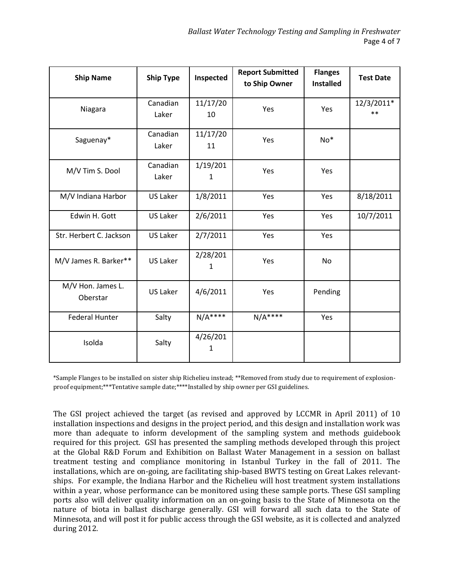| <b>Ship Name</b>              | <b>Ship Type</b>  | Inspected      | <b>Report Submitted</b><br>to Ship Owner | <b>Flanges</b><br><b>Installed</b> | <b>Test Date</b>    |  |
|-------------------------------|-------------------|----------------|------------------------------------------|------------------------------------|---------------------|--|
| Niagara                       | Canadian<br>Laker | 11/17/20<br>10 | Yes                                      | Yes                                | 12/3/2011*<br>$***$ |  |
| Saguenay*                     | Canadian<br>Laker | 11/17/20<br>11 | Yes                                      | $No*$                              |                     |  |
| M/V Tim S. Dool               | Canadian<br>Laker | 1/19/201<br>1  | Yes                                      | Yes                                |                     |  |
| M/V Indiana Harbor            | <b>US Laker</b>   | 1/8/2011       | Yes                                      | Yes                                | 8/18/2011           |  |
| Edwin H. Gott                 | <b>US Laker</b>   | 2/6/2011       | Yes                                      | Yes                                | 10/7/2011           |  |
| Str. Herbert C. Jackson       | <b>US Laker</b>   | 2/7/2011       | Yes                                      | Yes                                |                     |  |
| M/V James R. Barker**         | <b>US Laker</b>   | 2/28/201<br>1  | Yes                                      | No                                 |                     |  |
| M/V Hon. James L.<br>Oberstar | <b>US Laker</b>   | 4/6/2011       | Yes                                      | Pending                            |                     |  |
| <b>Federal Hunter</b>         | Salty             | $N/A***$       | $N/A***$                                 | Yes                                |                     |  |
| Isolda                        | Salty             | 4/26/201<br>1  |                                          |                                    |                     |  |

\*Sample Flanges to be installed on sister ship Richelieu instead; \*\*Removed from study due to requirement of explosionproof equipment;\*\*\*Tentative sample date;\*\*\*\*Installed by ship owner per GSI guidelines.

The GSI project achieved the target (as revised and approved by LCCMR in April 2011) of 10 installation inspections and designs in the project period, and this design and installation work was more than adequate to inform development of the sampling system and methods guidebook required for this project. GSI has presented the sampling methods developed through this project at the Global R&D Forum and Exhibition on Ballast Water Management in a session on ballast treatment testing and compliance monitoring in Istanbul Turkey in the fall of 2011. The installations, which are on-going, are facilitating ship-based BWTS testing on Great Lakes relevantships. For example, the Indiana Harbor and the Richelieu will host treatment system installations within a year, whose performance can be monitored using these sample ports. These GSI sampling ports also will deliver quality information on an on-going basis to the State of Minnesota on the nature of biota in ballast discharge generally. GSI will forward all such data to the State of Minnesota, and will post it for public access through the GSI website, as it is collected and analyzed during 2012.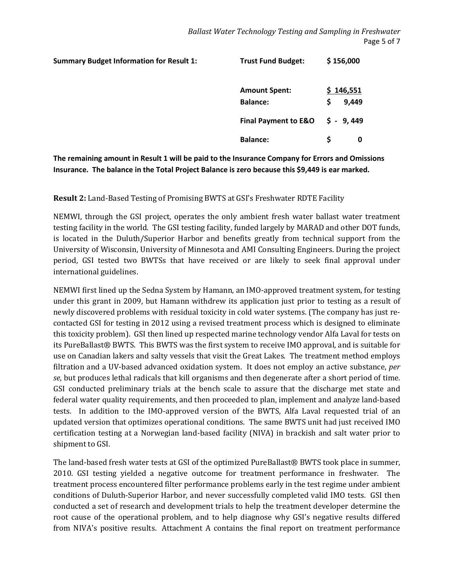| <b>Summary Budget Information for Result 1:</b> | <b>Trust Fund Budget:</b>       | \$156,000   |
|-------------------------------------------------|---------------------------------|-------------|
|                                                 | <b>Amount Spent:</b>            | \$146,551   |
|                                                 | <b>Balance:</b>                 | 9,449<br>\$ |
|                                                 | <b>Final Payment to E&amp;O</b> | $$ -9,449$  |
|                                                 | <b>Balance:</b>                 | \$<br>0     |
|                                                 |                                 |             |

**The remaining amount in Result 1 will be paid to the Insurance Company for Errors and Omissions Insurance. The balance in the Total Project Balance is zero because this \$9,449 is ear marked.** 

**Result 2:** Land-Based Testing of Promising BWTS at GSI's Freshwater RDTE Facility

NEMWI, through the GSI project, operates the only ambient fresh water ballast water treatment testing facility in the world. The GSI testing facility, funded largely by MARAD and other DOT funds, is located in the Duluth/Superior Harbor and benefits greatly from technical support from the University of Wisconsin, University of Minnesota and AMI Consulting Engineers. During the project period, GSI tested two BWTSs that have received or are likely to seek final approval under international guidelines.

NEMWI first lined up the Sedna System by Hamann, an IMO-approved treatment system, for testing under this grant in 2009, but Hamann withdrew its application just prior to testing as a result of newly discovered problems with residual toxicity in cold water systems. (The company has just recontacted GSI for testing in 2012 using a revised treatment process which is designed to eliminate this toxicity problem). GSI then lined up respected marine technology vendor Alfa Laval for tests on its PureBallast® BWTS. This BWTS was the first system to receive IMO approval, and is suitable for use on Canadian lakers and salty vessels that visit the Great Lakes. The treatment method employs filtration and a UV-based advanced oxidation system. It does not employ an active substance, *per se*, but produces lethal radicals that kill organisms and then degenerate after a short period of time. GSI conducted preliminary trials at the bench scale to assure that the discharge met state and federal water quality requirements, and then proceeded to plan, implement and analyze land-based tests. In addition to the IMO-approved version of the BWTS, Alfa Laval requested trial of an updated version that optimizes operational conditions. The same BWTS unit had just received IMO certification testing at a Norwegian land-based facility (NIVA) in brackish and salt water prior to shipment to GSI.

The land-based fresh water tests at GSI of the optimized PureBallast® BWTS took place in summer, 2010. GSI testing yielded a negative outcome for treatment performance in freshwater. The treatment process encountered filter performance problems early in the test regime under ambient conditions of Duluth-Superior Harbor, and never successfully completed valid IMO tests. GSI then conducted a set of research and development trials to help the treatment developer determine the root cause of the operational problem, and to help diagnose why GSI's negative results differed from NIVA's positive results. Attachment A contains the final report on treatment performance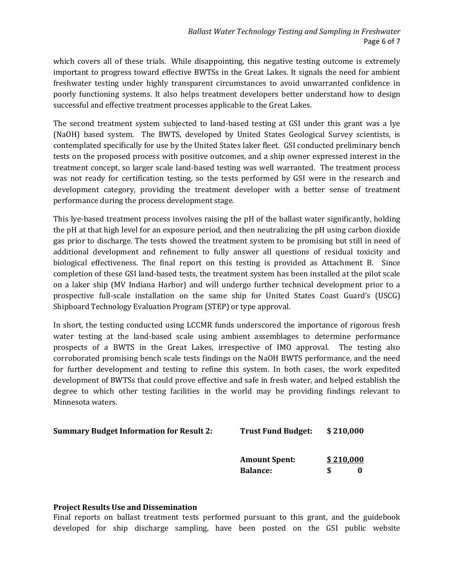which covers all of these trials. While disappointing, this negative testing outcome is extremely important to progress toward effective BWTSs in the Great Lakes. It signals the need for ambient freshwater testing under highly transparent circumstances to avoid unwarranted confidence in poorly functioning systems. It also helps treatment developers better understand how to design successful and effective treatment processes applicable to the Great Lakes.

The second treatment system subjected to land-based testing at GSI under this grant was a lye (NaOH) based system. The BWTS, developed by United States Geological Survey scientists, is contemplated specifically for use by the United States laker fleet. GSI conducted preliminary bench tests on the proposed process with positive outcomes, and a ship owner expressed interest in the treatment concept, so larger scale land-based testing was well warranted. The treatment process was not ready for certification testing, so the tests performed by GSI were in the research and development category, providing the treatment developer with a better sense of treatment performance during the process development stage.

This lye-based treatment process involves raising the pH of the ballast water significantly, holding the pH at that high level for an exposure period, and then neutralizing the pH using carbon dioxide gas prior to discharge. The tests showed the treatment system to be promising but still in need of additional development and refinement to fully answer all questions of residual toxicity and biological effectiveness. The final report on this testing is provided as Attachment B. Since completion of these GSI land-based tests, the treatment system has been installed at the pilot scale on a laker ship (MV Indiana Harbor) and will undergo further technical development prior to a prospective full-scale installation on the same ship for United States Coast Guard's (USCG) Shipboard Technology Evaluation Program (STEP) or type approval.

In short, the testing conducted using LCCMR funds underscored the importance of rigorous fresh water testing at the land-based scale using ambient assemblages to determine performance prospects of a BWTS in the Great Lakes, irrespective of IMO approval. The testing also corroborated promising bench scale tests findings on the NaOH BWTS performance, and the need for further development and testing to refine this system. In both cases, the work expedited development of BWTSs that could prove effective and safe in fresh water, and helped establish the degree to which other testing facilities in the world may be providing findings relevant to Minnesota waters.

| <b>Summary Budget Information for Result 2:</b> | <b>Trust Fund Budget:</b> | \$210,000 |
|-------------------------------------------------|---------------------------|-----------|
|                                                 |                           |           |

| <b>Amount Spent:</b> |   | \$210,000 |  |  |  |
|----------------------|---|-----------|--|--|--|
| <b>Balance:</b>      | S | 0         |  |  |  |

# **Project Results Use and Dissemination**

Final reports on ballast treatment tests performed pursuant to this grant, and the guidebook developed for ship discharge sampling, have been posted on the GSI public website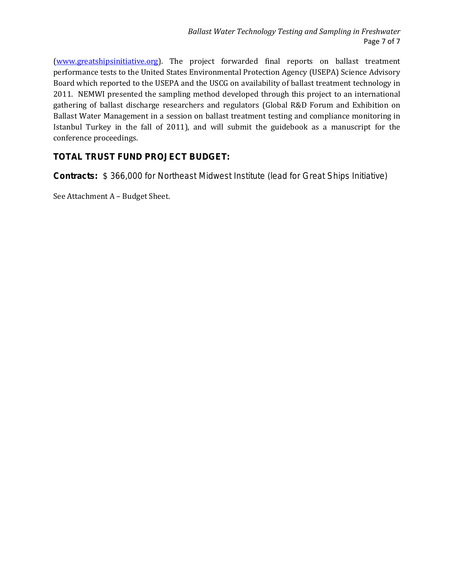[\(www.greatshipsinitiative.org\)](http://www.greatshipsinitiative.org/). The project forwarded final reports on ballast treatment performance tests to the United States Environmental Protection Agency (USEPA) Science Advisory Board which reported to the USEPA and the USCG on availability of ballast treatment technology in 2011. NEMWI presented the sampling method developed through this project to an international gathering of ballast discharge researchers and regulators (Global R&D Forum and Exhibition on Ballast Water Management in a session on ballast treatment testing and compliance monitoring in Istanbul Turkey in the fall of 2011), and will submit the guidebook as a manuscript for the conference proceedings.

# **TOTAL TRUST FUND PROJECT BUDGET:**

**Contracts:** \$ 366,000 for Northeast Midwest Institute (lead for Great Ships Initiative)

See Attachment A – Budget Sheet.